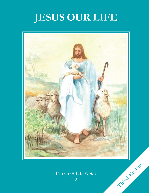# **JESUS OUR LIFE**



## Faith and Life Series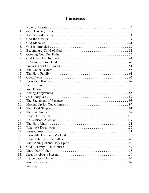#### **Contents**

| 1.               |  |
|------------------|--|
| 2.               |  |
| 3 <sub>1</sub>   |  |
| $\overline{4}$ . |  |
| 5.               |  |
| 6.               |  |
| 7.               |  |
| 8.               |  |
| 9.               |  |
| 10.              |  |
| 11.              |  |
| 12.              |  |
| 13.              |  |
| 14.              |  |
| 15.              |  |
| 16.              |  |
| 17.              |  |
| 18.              |  |
| 19.              |  |
| 20.              |  |
| 21.              |  |
| 22.              |  |
| 23.              |  |
| 24.              |  |
| 25.              |  |
| 26.              |  |
| 27.              |  |
| 28.              |  |
| 29.              |  |
| 30.              |  |
| 31.              |  |
| 32.              |  |
| 33.              |  |
| 34.              |  |
|                  |  |
|                  |  |
|                  |  |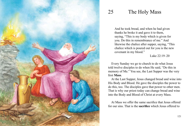

# 25 The Holy Mass

And he took bread, and when he had given thanks he broke it and gave it to them, saying, "This is my body which is given for you. Do this in remembrance of me." And likewise the chalice after supper, saying, "This chalice which is poured out for you is the new covenant in my blood."

Luke 22:19–20

 Every Sunday we go to church to do what Jesus told twelve disciples to do when He said, "Do this in memory of Me." You see, the Last Supper was the very first **Mass**.

 At the Last Supper, Jesus changed bread and wine into His Body and Blood. He gave the disciples the power to do this, too. The disciples gave that power to other men. That is why our priest today can change bread and wine into the Body and Blood of Christ at every Mass.

 At Mass we offer the same sacrifice that Jesus offered for our sins. That is the **sacrifice** which Jesus offered to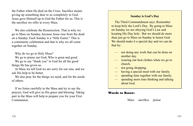the Father when He died on the Cross. Sacrifice means giving up something dear to us completely to God. Jesus gave Himself up to God the Father for us. This is the sacrifice we offer at every Mass.

 We also celebrate the Resurrection. That is why we go to Mass on Sunday, because Jesus rose from the dead on a Sunday. Each Sunday is a "little Easter." This is a community celebration and that is why we all come together on Sunday.

Why do we go to Holy Mass?

We go to praise our God, Who is great and good.

 We go to say "thank you" to God for all the good things He has given us.

 At Mass we tell God we are sorry for our sins, and we ask His help to be better.

 We also pray for the things we need, and for the needs of others.

 If we listen carefully to the Mass and try to say the prayers, God will give us His grace and blessing. Taking part in the Mass will help to prepare you for your First Communion.

### **Sunday is God's Day**

 The Third Commandment says: Remember to keep holy the Lord's Day. By going to Mass on Sunday we are obeying God's Law and keeping His Day holy. But we should do more than just go to Mass on Sunday to honor God. We should make it a special day and we can do that by:

- not doing any work that can be done on another day.
- wearing our best clothes when we go to church.
- not going shopping.
- having a special meal with our family.
- spending time together with our family.
- spending more time thinking and talking about God.

### Words to Know:

Mass sacrifice praise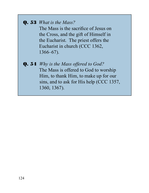# Q. 53 *What is the Mass?*

 The Mass is the sacrifice of Jesus on the Cross, and the gift of Himself in the Eucharist. The priest offers the Eucharist in church (CCC 1362, 1366–67).

 Q. 54 *Why is the Mass offered to God?* The Mass is offered to God to worship Him, to thank Him, to make up for our sins, and to ask for His help (CCC 1357, 1360, 1367).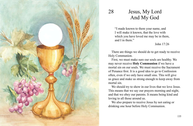

# 28 Jesus, My Lord And My God

"I made known to them your name, and I will make it known, that the love with which you have loved me may be in them, and I in them."

John 17:26

 There are things we should do to get ready to receive Holy Communion.

 First, we must make sure our souls are healthy. We may never receive **Holy Communion** if we have a mortal sin on our souls. We must receive the Sacrament of Penance first. It is a good idea to go to Confession often, even if we only have small sins. This will give us grace and make us strong enough to keep away from mortal sin.

 We should try to show in our lives that we love Jesus. This means that we say our prayers morning and night, and that we obey our parents. It means being kind and loving to all those around us.

 We also prepare to receive Jesus by not eating or drinking one hour before Holy Communion.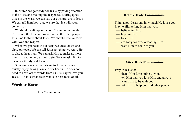In church we get ready for Jesus by paying attention to the Mass and making the responses. During quiet times in the Mass, we can say our own prayers to Jesus. We can tell Him how glad we are that He will soon come to us.

 We should walk up to receive Communion quietly. This is not the time to look around at the other people. It is time to think about Jesus. We should receive Jesus with love and respect.

 When we get back to our seats we kneel down and close our eyes. We can tell Jesus anything we want. He is glad to hear it all. We can ask Him to make us more like Him and to help us not to sin. We can ask Him to bless our family and friends.

 Sometimes instead of talking to Jesus, it is nice to quietly enjoy having Jesus in our hearts. He does not need to hear lots of words from us. Just say "I love you, Jesus." That is what Jesus wants to hear most of all.

### Words to Know:

### Holy Communion

### Before Holy Communion:

Think about Jesus and how much He loves you. Pray to Him telling Him that you:

- believe in Him.
- hope in Him.
- love Him.
- are sorry for ever offending Him.
- want Him to come to you.

#### After Holy Communion:

Pray to Jesus to:

- thank Him for coming to you.
- tell Him that you love Him and always want Him to be with you.
- ask Him to help you and other people.